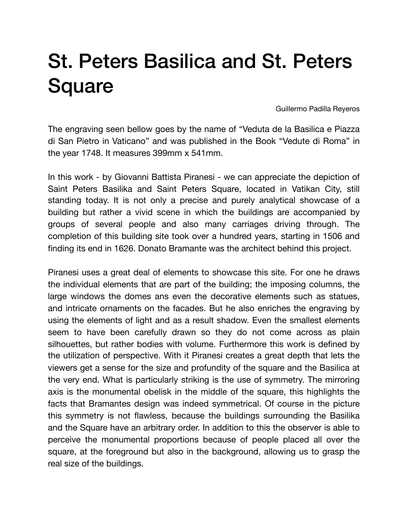## St. Peters Basilica and St. Peters **Square**

Guillermo Padilla Reyeros

The engraving seen bellow goes by the name of "Veduta de la Basilica e Piazza di San Pietro in Vaticano" and was published in the Book "Vedute di Roma" in the year 1748. It measures 399mm x 541mm.

In this work - by Giovanni Battista Piranesi - we can appreciate the depiction of Saint Peters Basilika and Saint Peters Square, located in Vatikan City, still standing today. It is not only a precise and purely analytical showcase of a building but rather a vivid scene in which the buildings are accompanied by groups of several people and also many carriages driving through. The completion of this building site took over a hundred years, starting in 1506 and finding its end in 1626. Donato Bramante was the architect behind this project.

Piranesi uses a great deal of elements to showcase this site. For one he draws the individual elements that are part of the building; the imposing columns, the large windows the domes ans even the decorative elements such as statues, and intricate ornaments on the facades. But he also enriches the engraving by using the elements of light and as a result shadow. Even the smallest elements seem to have been carefully drawn so they do not come across as plain silhouettes, but rather bodies with volume. Furthermore this work is defined by the utilization of perspective. With it Piranesi creates a great depth that lets the viewers get a sense for the size and profundity of the square and the Basilica at the very end. What is particularly striking is the use of symmetry. The mirroring axis is the monumental obelisk in the middle of the square, this highlights the facts that Bramantes design was indeed symmetrical. Of course in the picture this symmetry is not flawless, because the buildings surrounding the Basilika and the Square have an arbitrary order. In addition to this the observer is able to perceive the monumental proportions because of people placed all over the square, at the foreground but also in the background, allowing us to grasp the real size of the buildings.